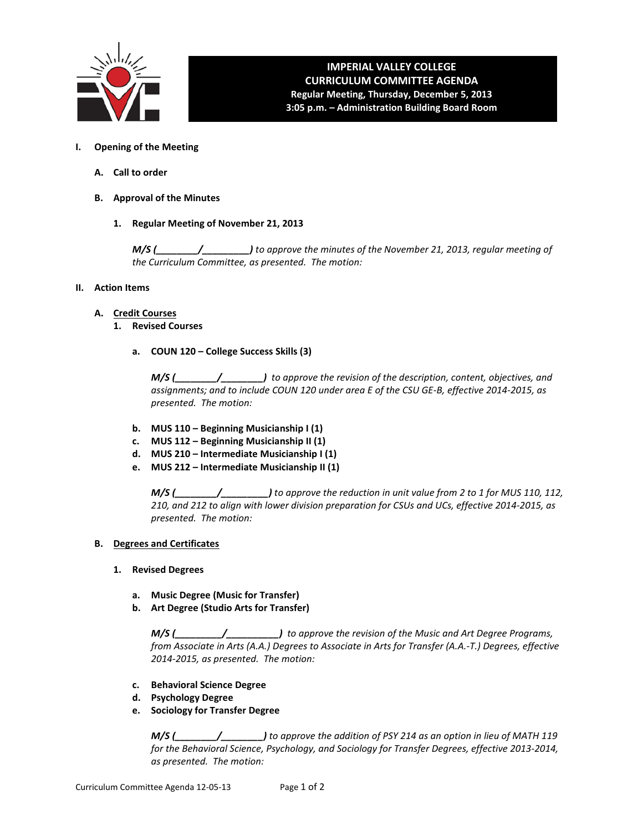

## **IMPERIAL VALLEY COLLEGE CURRICULUM COMMITTEE AGENDA Regular Meeting, Thursday, December 5, 2013 3:05 p.m. – Administration Building Board Room**

- **I. Opening of the Meeting**
	- **A. Call to order**
	- **B. Approval of the Minutes**
		- **1. Regular Meeting of November 21, 2013**

*M/S (\_\_\_\_\_\_\_\_/\_\_\_\_\_\_\_\_\_) to approve the minutes of the November 21, 2013, regular meeting of the Curriculum Committee, as presented. The motion:* 

## **II. Action Items**

- **A. Credit Courses**
	- **1. Revised Courses**
		- **a. COUN 120 – College Success Skills (3)**

*M/S (\_\_\_\_\_\_\_\_/\_\_\_\_\_\_\_\_) to approve the revision of the description, content, objectives, and assignments; and to include COUN 120 under area E of the CSU GE-B, effective 2014-2015, as presented. The motion:*

- **b. MUS 110 – Beginning Musicianship I (1)**
- **c. MUS 112 – Beginning Musicianship II (1)**
- **d. MUS 210 – Intermediate Musicianship I (1)**
- **e. MUS 212 – Intermediate Musicianship II (1)**

*M/S (\_\_\_\_\_\_\_\_/\_\_\_\_\_\_\_\_\_) to approve the reduction in unit value from 2 to 1 for MUS 110, 112, 210, and 212 to align with lower division preparation for CSUs and UCs, effective 2014-2015, as presented. The motion:*

## **B. Degrees and Certificates**

- **1. Revised Degrees**
	- **a. Music Degree (Music for Transfer)**
	- **b. Art Degree (Studio Arts for Transfer)**

*M/S (\_\_\_\_\_\_\_\_\_/\_\_\_\_\_\_\_\_\_\_) to approve the revision of the Music and Art Degree Programs, from Associate in Arts (A.A.) Degrees to Associate in Arts for Transfer (A.A.-T.) Degrees, effective 2014-2015, as presented. The motion:* 

- **c. Behavioral Science Degree**
- **d. Psychology Degree**
- **e. Sociology for Transfer Degree**

*M/S (\_\_\_\_\_\_\_\_/\_\_\_\_\_\_\_\_) to approve the addition of PSY 214 as an option in lieu of MATH 119 for the Behavioral Science, Psychology, and Sociology for Transfer Degrees, effective 2013-2014, as presented. The motion:*